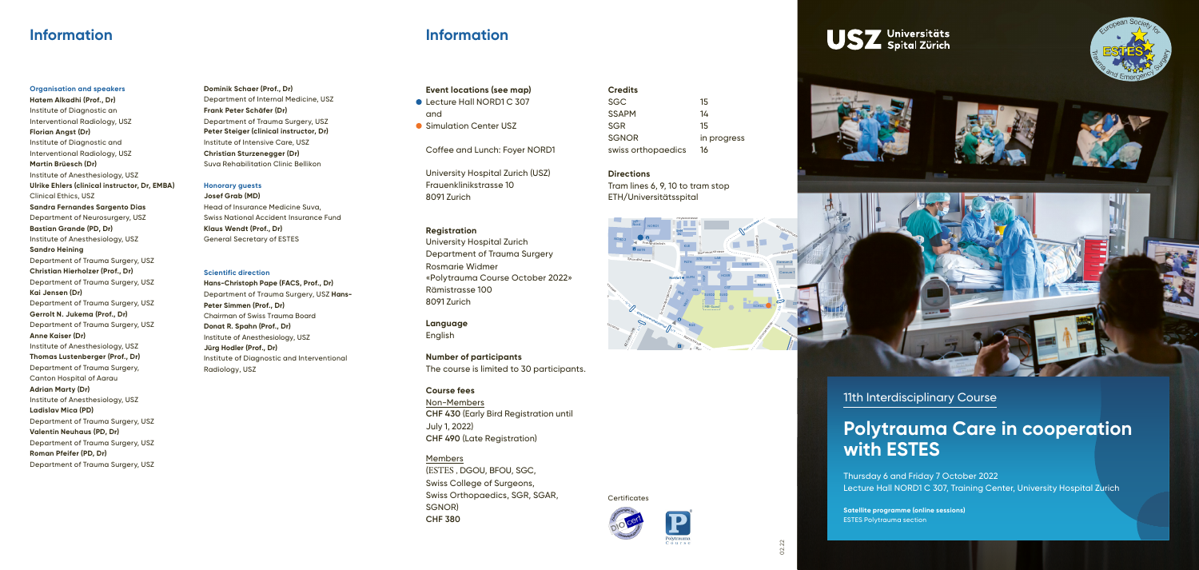

Karl-Schmid-Strasse



Gloriastrasse



### **Information**

#### **Organisation and speakers**

ر<br>University Hospital Zurich (USZ) Frauenklinikstrasse 10 8091 Zurich

ommonstry tholested buildings.<br>Department of Trauma Surgery<br>Peamaria Widmax University Hospital Zurich Rosmarie Widmer «Polytrauma Course October 2022» Rämistrasse 100 8091 Zurich

**Number of participants**<br>The course is limited to 30 participants. **Number of participants**

**CHF 430** (Early Bird Registration until Non-Members July 1, 2022) **CHF 490** (Late Registration)

Tram lines 6, 9, 10 to tram stop  $\frac{1}{16}$ ETH/Universitätsspital

**Hatem Alkadhi (Prof., Dr)**  Institute of Diagnostic an Interventional Radiology, USZ **Florian Angst (Dr)**  Institute of Diagnostic and Interventional Radiology, USZ **Martin Brüesch (Dr)** Institute of Anesthesiology, USZ **Ulrike Ehlers (clinical instructor, Dr, EMBA)** Clinical Ethics, USZ **Sandra Fernandes Sargento Dias** Department of Neurosurgery, USZ **Bastian Grande (PD, Dr)** Institute of Anesthesiology, USZ **Sandro Heining** Department of Trauma Surgery, USZ **Christian Hierholzer (Prof., Dr)** Department of Trauma Surgery, USZ **Kai Jensen (Dr)** Department of Trauma Surgery, USZ **Gerrolt N. Jukema (Prof., Dr)** Department of Trauma Surgery, USZ **Anne Kaiser (Dr)** Institute of Anesthesiology, USZ **Thomas Lustenberger (Prof., Dr)** Department of Trauma Surgery, Canton Hospital of Aarau **Adrian Marty (Dr)** Institute of Anesthesiology, USZ **Ladislav Mica (PD)** Department of Trauma Surgery, USZ **Valentin Neuhaus (PD, Dr)** Department of Trauma Surgery, USZ **Roman Pfeifer (PD, Dr)**

Department of Trauma Surgery, USZ

## **Information**







### **Event locations (see map)**

- Lecture Hall NORD1 C 307 and
- Simulation Center USZ

Coffee and Lunch: Foyer NORD1

#### **Registration**

**Language** English

#### **Course fees**

#### Members

(ESTES , DGOU, BFOU, SGC, Swiss College of Surgeons, Swiss Orthopaedics, SGR, SGAR, SGNOR) **CHF 380**

**Credits**

senok<br>swiss orthopaedics 16 SGC 15 SSAPM 14 SGR 15 SGNOR in progress

#### **Directions**

**Certificates** 

11th Interdisciplinary Course

# **Polytrauma Care in cooperation with ESTES**

Thursday 6 and Friday 7 October 2022 Lecture Hall NORD1 C 307, Training Center, University Hospital Zurich

**Satellite programme (online sessions)** ESTES Polytrauma section

**Dominik Schaer (Prof., Dr)** Department of Internal Medicine, USZ **Frank Peter Schäfer (Dr)** Department of Trauma Surgery, USZ **Peter Steiger (clinical instructor, Dr)** Institute of Intensive Care, USZ **Christian Sturzenegger (Dr)** Suva Rehabilitation Clinic Bellikon

#### **Honorary guests**

**Josef Grab (MD)** Head of Insurance Medicine Suva, Swiss National Accident Insurance Fund **Klaus Wendt (Prof., Dr)** General Secretary of ESTES

#### **Scientific direction**

**Hans-Christoph Pape (FACS, Prof., Dr)** Department of Trauma Surgery, USZ **Hans-Peter Simmen (Prof., Dr)** Chairman of Swiss Trauma Board **Donat R. Spahn (Prof., Dr)** Institute of Anesthesiology, USZ **Jürg Hodler (Prof., Dr)** Institute of Diagnostic and Interventional Radiology, USZ